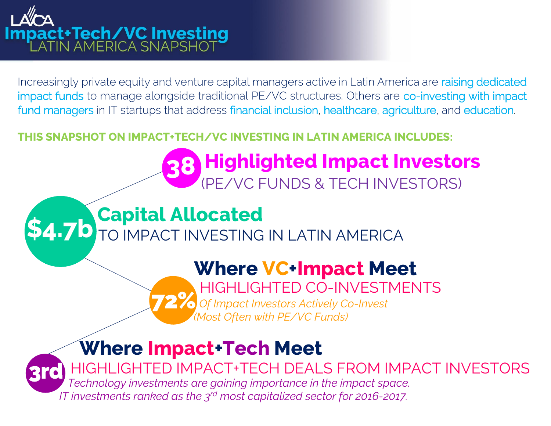# **act+Tech/VC Investing**<br>ATIN AMERICA SNAPSHOT

Increasingly private equity and venture capital managers active in Latin America are raising dedicated impact funds to manage alongside traditional PE/VC structures. Others are co-investing with impact fund managers in IT startups that address financial inclusion, healthcare, agriculture, and education.

#### **THIS SNAPSHOT ON IMPACT+TECH/VC INVESTING IN LATIN AMERICA INCLUDES:**

## (PE/VC FUNDS & TECH INVESTORS) **Capital Allocated<br><b>\$4.7b** TO IMPACT INVESTING IN LATIN AMERICA

## **Where VC+Impact Meet**

HIGHLIGHTED CO-INVESTMENTS

**38 Highlighted Impact Investors**

**72%** *Of Impact Investors Actively Co-Invest (Most Often with PE/VC Funds)*

**Where Impact+Tech Meet 3rd** HIGHLIGHTED IMPACT+TECH DEALS FROM IMPACT INVESTORS *Technology investments are gaining importance in the impact space. IT investments ranked as the 3rd most capitalized sector for 2016-2017.*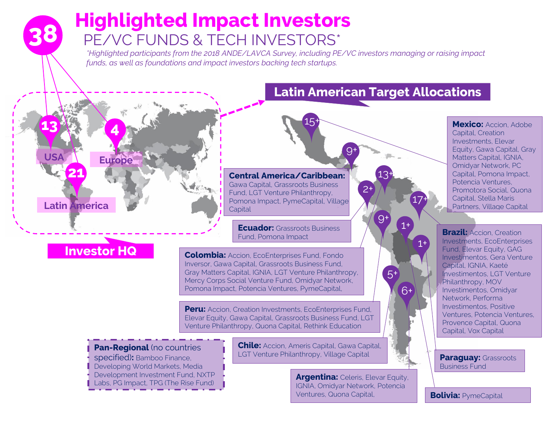## **38 Highlighted Impact Investors**<br>**38** PEAVO FUNDS & TEOH INVESTORS\* PE/VC FUNDS & TECH INVESTORS\*

*\*Highlighted participants from the 2018 ANDE/LAVCA Survey, including PE/VC investors managing or raising impact funds, as well as foundations and impact investors backing tech startups.* 

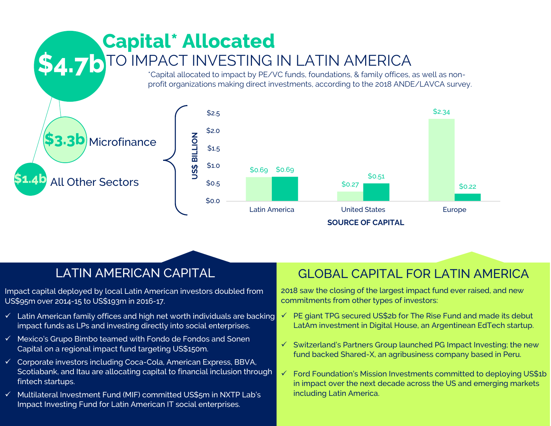

Impact capital deployed by local Latin American investors doubled from US\$95m over 2014-15 to US\$193m in 2016-17.

- $\checkmark$  Latin American family offices and high net worth individuals are backing impact funds as LPs and investing directly into social enterprises.
- ✓ Mexico's Grupo Bimbo teamed with Fondo de Fondos and Sonen Capital on a regional impact fund targeting US\$150m.
- ✓ Corporate investors including Coca-Cola, American Express, BBVA, Scotiabank, and Itau are allocating capital to financial inclusion through fintech startups.
- ✓ Multilateral Investment Fund (MIF) committed US\$5m in NXTP Lab's Impact Investing Fund for Latin American IT social enterprises.

#### LATIN AMERICAN CAPITAL GLOBAL CAPITAL FOR LATIN AMERICA

 commitments from other types of investors: 2018 saw the closing of the largest impact fund ever raised, and new

- ✓ PE giant TPG secured US\$2b for The Rise Fund and made its debut LatAm investment in Digital House, an Argentinean EdTech startup.
- ✓ Switzerland's Partners Group launched PG Impact Investing; the new fund backed Shared-X, an agribusiness company based in Peru.
- ✓ Ford Foundation's Mission Investments committed to deploying US\$1b in impact over the next decade across the US and emerging markets including Latin America.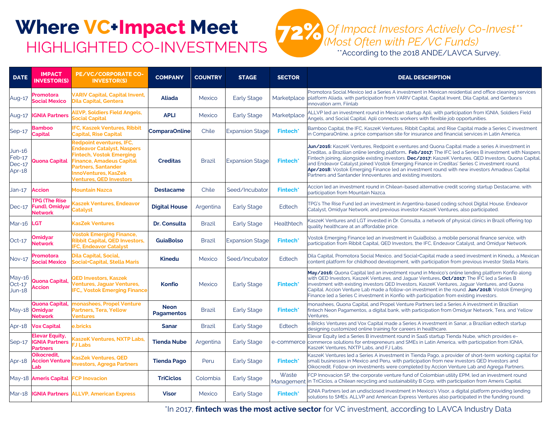## **Where VC+Impact Meet** HIGHLIGHTED CO-INVESTMENTS



| <b>DATE</b>                            | <b>IMPACT</b><br><b>INVESTOR(S)</b>                               | PE/VC/CORPORATE CO-<br><b>INVESTOR(S)</b>                                                                                                                                                           | <b>COMPANY</b>                   | <b>COUNTRY</b> | <b>STAGE</b>           | <b>SECTOR</b>       | <b>DEAL DESCRIPTION</b>                                                                                                                                                                                                                                                                                                                                                                                                                                                                                                                                                                    |
|----------------------------------------|-------------------------------------------------------------------|-----------------------------------------------------------------------------------------------------------------------------------------------------------------------------------------------------|----------------------------------|----------------|------------------------|---------------------|--------------------------------------------------------------------------------------------------------------------------------------------------------------------------------------------------------------------------------------------------------------------------------------------------------------------------------------------------------------------------------------------------------------------------------------------------------------------------------------------------------------------------------------------------------------------------------------------|
| Aug-17                                 | Promotora<br><b>Social Mexico</b>                                 | <b>VARIV Capital, Capital Invent,</b><br><b>Dila Capital, Gentera</b>                                                                                                                               | <b>Aliada</b>                    | Mexico         | <b>Early Stage</b>     | Marketplace         | Promotora Social Mexico led a Series A investment in Mexican residential and office cleaning services<br>platform Aliada, with participation from VARIV Capital, Capital Invent, Dila Capital, and Gentera's<br>innovation arm, Fiinlab                                                                                                                                                                                                                                                                                                                                                    |
| Aug-17                                 | <b>IGNIA Partners</b>                                             | <b>ILIVP, Soldiers Field Angels,</b><br><b>ocial Capital</b>                                                                                                                                        | <b>APLI</b>                      | Mexico         | <b>Early Stage</b>     | Marketplace         | ALLVP led an investment round in Mexican startup Apli, with participation from IGNIA, Soldiers Field<br>Angels, and Social Capital. Apli connects workers with flexible job opportunities.                                                                                                                                                                                                                                                                                                                                                                                                 |
| Sep-17                                 | <b>Bamboo</b><br><b>Capital</b>                                   | <b>FC, Kaszek Ventures, Ribbit</b><br>Capital, Rise Capital                                                                                                                                         | <b>ComparaOnline</b>             | Chile          | <b>Expansion Stage</b> | Fintech*            | Bamboo Capital, the IFC, KaszeK Ventures, Ribbit Capital, and Rise Capital made a Series C investment<br>in ComparaOnline, a price comparison site for insurance and financial services in Latin America.                                                                                                                                                                                                                                                                                                                                                                                  |
| Jun-16<br>Feb-17<br>$Dec-17$<br>Apr-18 | <b>Quona Capital</b>                                              | Redpoint eventures, IFC,<br><b>Endeavor Catalyst, Naspers</b><br>intech, Vostok Emerging<br><b>Finance, Amadeus Capital</b><br>Partners, Santander<br>nnoVentures, KasZek<br>entures, QED Investors | <b>Creditas</b>                  | <b>Brazil</b>  | <b>Expansion Stage</b> | <b>Fintech*</b>     | Jun/2016: KaszeK Ventures, Redpoint e.ventures and Quona Capital made a series A investment in<br>Creditas, a Brazilian online lending platform. Feb/2017: The IFC led a Series B investment with Naspers<br>Fintech joining, alongside existing investors. <b>Dec/2017:</b> KaszeK Ventures, QED Investors, Quona Capital,<br>and Endeavor Catalyst joined Vostok Emerging Finance in Creditas' Series C investment round.<br>Apr/2018: Vostok Emerging Finance led an investment round with new investors Amadeus Capital<br>Partners and Santander Innoventures and existing investors. |
| Jan-17                                 | <b>Accion</b>                                                     | Mountain Nazca                                                                                                                                                                                      | <b>Destacame</b>                 | Chile          | Seed/Incubator         | <b>Fintech*</b>     | Accion led an investment round in Chilean-based alternative credit scoring startup Destacame, with<br>participation from Mountain Nazca.                                                                                                                                                                                                                                                                                                                                                                                                                                                   |
| $Dec-17$                               | <b>TPG (The Rise</b><br><b>Fund), Omidyar</b><br>Network          | aszek Ventures, Endeavor<br><b>Catalyst</b>                                                                                                                                                         | <b>Digital House</b>             | Argentina      | <b>Early Stage</b>     | Edtech              | TPG's The Rise Fund led an investment in Argentina-based coding school Digital House. Endeavor<br>Catalyst, Omidyar Network, and previous investor KaszeK Ventures, also participated.                                                                                                                                                                                                                                                                                                                                                                                                     |
| Mar-16                                 | <b>LGT</b>                                                        | <b>KasZek Ventures</b>                                                                                                                                                                              | <b>Dr. Consulta</b>              | <b>Brazil</b>  | <b>Early Stage</b>     | Healthtech          | KaszeK Ventures and LGT invested in Dr. Consulta, a network of physical clinics in Brazil offering top<br>quality healthcare at an affordable price.                                                                                                                                                                                                                                                                                                                                                                                                                                       |
| $Oct-17$                               | <b>Omidyar</b><br><b>Network</b>                                  | <b>/ostok Emerging Finance,</b><br>Ribbit Capital, QED Investors,<br><b>FC, Endeavor Catalyst</b>                                                                                                   | <b>GuiaBolso</b>                 | <b>Brazil</b>  | <b>Expansion Stage</b> | <b>Fintech*</b>     | Vostok Emerging Finance led an investment in GuiaBolso, a mobile personal finance service, with<br>participation from Ribbit Capital, QED Investors, the IFC, Endeavor Catalyst, and Omidyar Network.                                                                                                                                                                                                                                                                                                                                                                                      |
| <b>Nov-17</b>                          | Promotora<br>Social Mexico                                        | Dila Capital, Social,<br>Social+Capital, Stella Maris                                                                                                                                               | <b>Kinedu</b>                    | Mexico         | Seed/Incubator         | Edtech              | Dila Capital, Promotora Social Mexico, and Social+Capital made a seed investment in Kinedu, a Mexican<br>content platform for childhood development, with participation from previous investor Stella Maris.                                                                                                                                                                                                                                                                                                                                                                               |
| May-16<br>$Oct-17$<br>$Jun-18$         | <b>Quona Capital</b><br><b>ccion</b>                              | <b>QED Investors, Kaszek</b><br>entures, Jaquar Ventures,<br><b>FC., Vostok Emerging Finance</b>                                                                                                    | <b>Konfio</b>                    | Mexico         | <b>Early Stage</b>     | <b>Fintech*</b>     | May/2016: Quona Capital led an investment round in Mexico's online lending platform Konfio along<br>with QED Investors, KaszeK Ventures, and Jaguar Ventures <b>. Oct/2017:</b> The IFC led a Series B<br>investment with existing investors QED Investors, KaszeK Ventures, Jaguar Ventures, and Quona<br>Capital. Accion Venture Lab made a follow-on investment in the round. Jun/2018: Vostok Emerging<br>Finance led a Series C investment in Konfio with participation from existing investors.                                                                                      |
|                                        | Quona Capital<br>May-18 <b>Omidyar</b><br><b>Network</b>          | nonashees, Propel Venture<br>Partners, Tera, Yellow<br><b>Ventures</b>                                                                                                                              | <b>Neon</b><br><b>Pagamentos</b> | <b>Brazil</b>  | <b>Early Stage</b>     | Fintech*            | monashees, Quona Capital, and Propel Venture Partners led a Series A investment in Brazilian<br>fintech Neon Pagamentos, a digital bank, with participation from Omidyar Network, Tera, and Yellow<br>Ventures.                                                                                                                                                                                                                                                                                                                                                                            |
| Apr-18                                 | <b>Vox Capital</b>                                                | e.bricks                                                                                                                                                                                            | Sanar                            | <b>Brazil</b>  | <b>Early Stage</b>     | Edtech              | e.Bricks Ventures and Vox Capital made a Series A investment in Sanar, a Brazilian edtech startup<br>designing customized online training for careers in healthcare.                                                                                                                                                                                                                                                                                                                                                                                                                       |
| $Sep-17$                               | <b>Elevar Equity,</b><br><b>IGNIA Partners</b><br><b>Partners</b> | <b>CaszeK Ventures, NXTP Labs,</b><br><b>J</b> Labs                                                                                                                                                 | <b>Tienda Nube</b>               | Argentina      | <b>Early Stage</b>     |                     | Elevar Equity led a Series B investment round in SaaS startup Tienda Nube, which provides e-<br>e-commerce commerce solutions for entrepreneurs and SMEs in Latin America, with participation from IGNIA,<br>KaszeK Ventures, NXTP Labs, and FJ Labs.                                                                                                                                                                                                                                                                                                                                      |
| Apr-18                                 | Oikocredit.<br><b>Accion Venture</b><br>ab                        | <b>CasZek Ventures, QED</b><br>nvestors, Agrega Partners                                                                                                                                            | <b>Tienda Pago</b>               | Peru           | <b>Early Stage</b>     | <b>Fintech*</b>     | KaszeK Ventures led a Series A investment in Tienda Pago, a provider of short-term working capital for<br>small businesses in Mexico and Peru, with participation from new investors QED Investors and<br>Oikocredit. Follow-on investments were completed by Accion Venture Lab and Agrega Partners.                                                                                                                                                                                                                                                                                      |
|                                        | May-18 Ameris Capital                                             | <b>CP</b> Inovacion                                                                                                                                                                                 | <b>TriCiclos</b>                 | Colombia       | <b>Early Stage</b>     | Waste<br>Management | FCP Innovacion SP, the corporate venture fund of Colombian utility EPM, led an investment round<br>in TriCiclos, a Chilean recycling and sustainability B Corp, with participation from Ameris Capital.                                                                                                                                                                                                                                                                                                                                                                                    |
|                                        |                                                                   | Mar-18 IGNIA Partners ALLVP, American Express                                                                                                                                                       | <b>Visor</b>                     | Mexico         | <b>Early Stage</b>     | <b>Fintech*</b>     | IGNIA Partners led an undisclosed investment in Mexico's Visor, a digital platform providing lending<br>solutions to SMEs. ALLVP and American Express Ventures also participated in the funding round.                                                                                                                                                                                                                                                                                                                                                                                     |

\*In 2017, **fintech was the most active sector** for VC investment, according to LAVCA Industry Data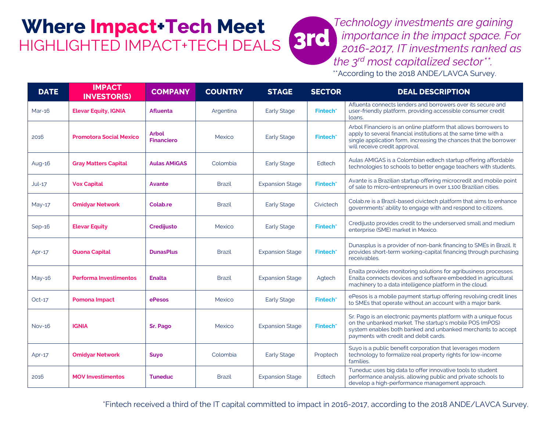### **Where Impact+Tech Meet**  HIGHLIGHTED IMPACT+TECH DEALS

**3rd**  *Technology investments are gaining importance in the impact space. For 2016-2017, IT investments ranked as the 3rd most capitalized sector\*\*.* \*\*According to the 2018 ANDE/LAVCA Survey.

**DATE IMPACT**<br>**INVESTOR(S) INVESTOR(S) COMPANY COUNTRY STAGE SECTOR DEAL DESCRIPTION** Mar-16 **Elevar Equity, IGNIA Afluenta Argentina** Early Stage **Fintech**<sup>\*</sup> Afluenta connects lenders and borrowers over its secure and user-friendly platform, providing accessible consumer credit loans. <sup>2016</sup> **Promotora Social Mexico Arbol Financiero** Mexico Early Stage **Fintech\*** Arbol Financiero is an online platform that allows borrowers to apply to several financial institutions at the same time with a single application form, increasing the chances that the borrower will receive credit approval. Aug-16 **Gray Matters Capital Aulas AMiGAS** Colombia Early Stage Edtech Aulas AMIGAS is a Colombian edtech startup offering affordable technologies to schools to better engage teachers with students. Jul-17 **Vox Capital Avante** Brazil Expansion Stage **Fintech\*** Avante is a Brazilian startup offering microcredit and mobile point of sale to micro-entrepreneurs in over 1,100 Brazilian cities. May-17 **Omidyar Network Colab.re Colab.re Colab.re Early Stage** Civictech Colab.re is a Brazil-based civictech platform that aims to enhance governments' ability to engage with and respond to citizens. Sep-16 **Elevar Equity Credijusto** Mexico Early Stage **Fintech**\* Credijusto provides credit to the underserved small and medium enterprise (SME) market in Mexico. Apr-17 **Quona Capital DunasPlus** Brazil Expansion Stage **Fintech\*** Dunasplus is a provider of non-bank financing to SMEs in Brazil. It provides short-term working-capital financing through purchasing receivables. May-16 **Performa Investimentos Enalta Brazil Brazil Expansion Stage Agtech** Enalta provides monitoring solutions for agribusiness processes. Enalta connects devices and software embedded in agricultural machinery to a data intelligence platform in the cloud. Oct-17 **Pomona Impact ePesos Mexico** Early Stage **Fintech**\* ePesos is a mobile payment startup offering revolving credit lines to SMEs that operate without an account with a major bank. Nov-16 **IGNIA Sr. Pago** Mexico Expansion Stage **Fintech\*** Sr. Pago is an electronic payments platform with a unique focus on the unbanked market. The startup's mobile POS (mPOS) system enables both banked and unbanked merchants to accept payments with credit and debit cards. Apr-17 **Omidyar Network Suyo** Colombia Early Stage Proptech Suyo is a public benefit corporation that leverages modern technology to formalize real property rights for low-income families. 2016 **MOV Investimentos Tuneduc** Brazil Expansion Stage Edtech Tuneduc uses big data to offer innovative tools to student performance analysis, allowing public and private schools to develop a high-performance management approach.

\*Fintech received a third of the IT capital committed to impact in 2016-2017, according to the 2018 ANDE/LAVCA Survey.